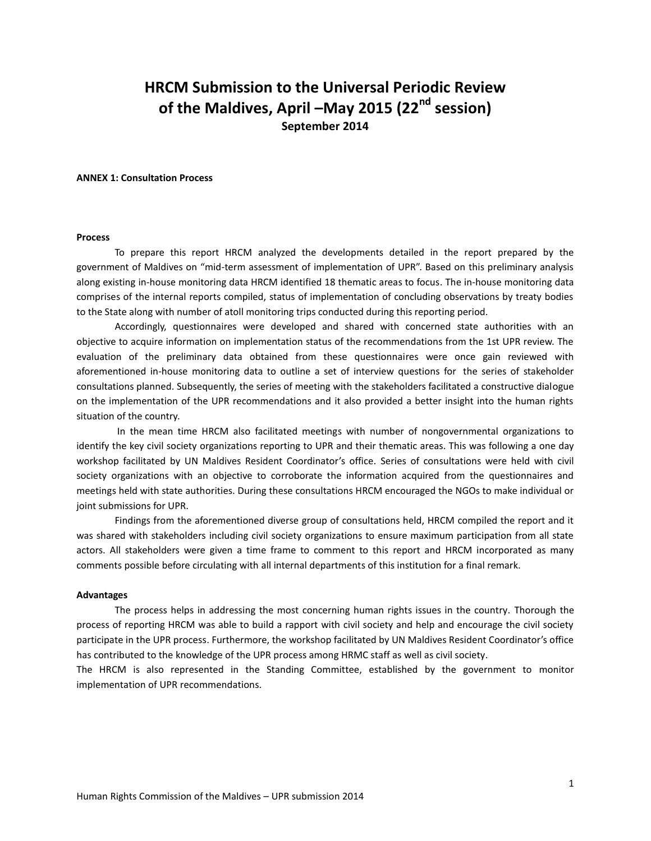# **HRCM Submission to the Universal Periodic Review of the Maldives, April –May 2015 (22nd session) September 2014**

#### **ANNEX 1: Consultation Process**

#### **Process**

To prepare this report HRCM analyzed the developments detailed in the report prepared by the government of Maldives on "mid-term assessment of implementation of UPR". Based on this preliminary analysis along existing in-house monitoring data HRCM identified 18 thematic areas to focus. The in-house monitoring data comprises of the internal reports compiled, status of implementation of concluding observations by treaty bodies to the State along with number of atoll monitoring trips conducted during this reporting period.

Accordingly, questionnaires were developed and shared with concerned state authorities with an objective to acquire information on implementation status of the recommendations from the 1st UPR review. The evaluation of the preliminary data obtained from these questionnaires were once gain reviewed with aforementioned in-house monitoring data to outline a set of interview questions for the series of stakeholder consultations planned. Subsequently, the series of meeting with the stakeholders facilitated a constructive dialogue on the implementation of the UPR recommendations and it also provided a better insight into the human rights situation of the country.

In the mean time HRCM also facilitated meetings with number of nongovernmental organizations to identify the key civil society organizations reporting to UPR and their thematic areas. This was following a one day workshop facilitated by UN Maldives Resident Coordinator's office. Series of consultations were held with civil society organizations with an objective to corroborate the information acquired from the questionnaires and meetings held with state authorities. During these consultations HRCM encouraged the NGOs to make individual or joint submissions for UPR.

Findings from the aforementioned diverse group of consultations held, HRCM compiled the report and it was shared with stakeholders including civil society organizations to ensure maximum participation from all state actors. All stakeholders were given a time frame to comment to this report and HRCM incorporated as many comments possible before circulating with all internal departments of this institution for a final remark.

### **Advantages**

The process helps in addressing the most concerning human rights issues in the country. Thorough the process of reporting HRCM was able to build a rapport with civil society and help and encourage the civil society participate in the UPR process. Furthermore, the workshop facilitated by UN Maldives Resident Coordinator's office has contributed to the knowledge of the UPR process among HRMC staff as well as civil society.

The HRCM is also represented in the Standing Committee, established by the government to monitor implementation of UPR recommendations.